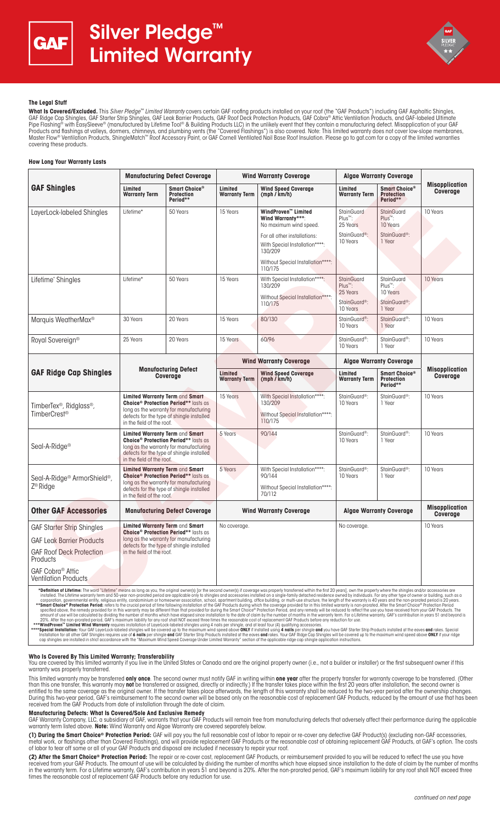



# **The Legal Stuff**

**What Is Covered/Excluded.** This *Silver Pledge™ Limited Warranty* covers certain GAF roofing products installed on your roof (the "GAF Products") including GAF Asphaltic Shingles,<br>GAF Ridge Cap Shingles, GAF Starter Stri Pipe Flashing® with EasySleeve® (manufactured by Lifetime Tool® & Building Products LLC) in the unlikely event that they contain a manufacturing defect. Misapplication of your GAF Products and flashings at valleys, dormers, chimneys, and plumbing vents (the "Covered Flashings") is also covered. Note: This limited warranty does not cover low-slope membranes,<br>Master Flow® Ventilation Products, Shingl covering these products.

#### **How Long Your Warranty Lasts**

|                                                                                                                                                                                                                                                                                                                                                                                                                                                                                                                                                                                                                                                                                                                                                                                                                                                                                                                                                                                                                                                                                                                                                                        | <b>Manufacturing Defect Coverage</b>                                                                                                                                                                          |                                                | <b>Wind Warranty Coverage</b>   |                                                                                           | <b>Algae Warranty Coverage</b>                |                                                |                                   |
|------------------------------------------------------------------------------------------------------------------------------------------------------------------------------------------------------------------------------------------------------------------------------------------------------------------------------------------------------------------------------------------------------------------------------------------------------------------------------------------------------------------------------------------------------------------------------------------------------------------------------------------------------------------------------------------------------------------------------------------------------------------------------------------------------------------------------------------------------------------------------------------------------------------------------------------------------------------------------------------------------------------------------------------------------------------------------------------------------------------------------------------------------------------------|---------------------------------------------------------------------------------------------------------------------------------------------------------------------------------------------------------------|------------------------------------------------|---------------------------------|-------------------------------------------------------------------------------------------|-----------------------------------------------|------------------------------------------------|-----------------------------------|
| <b>GAF Shingles</b>                                                                                                                                                                                                                                                                                                                                                                                                                                                                                                                                                                                                                                                                                                                                                                                                                                                                                                                                                                                                                                                                                                                                                    | Limited<br><b>Warranty Term</b>                                                                                                                                                                               | Smart Choice®<br><b>Protection</b><br>Period** | Limited<br><b>Warranty Term</b> | <b>Wind Speed Coverage</b><br>(mph / km/h)                                                | Limited<br><b>Warranty Term</b>               | Smart Choice®<br><b>Protection</b><br>Period** | <b>Misapplication</b><br>Coverage |
| LayerLock-labeled Shingles                                                                                                                                                                                                                                                                                                                                                                                                                                                                                                                                                                                                                                                                                                                                                                                                                                                                                                                                                                                                                                                                                                                                             | Lifetime*                                                                                                                                                                                                     | 50 Years                                       | 15 Years                        | WindProven™ Limited<br>Wind Warranty***:<br>No maximum wind speed.                        | <b>StainGuard</b><br>Plus™:<br>25 Years       | <b>StainGuard</b><br>$Plus^m$ :<br>10 Years    | 10 Years                          |
|                                                                                                                                                                                                                                                                                                                                                                                                                                                                                                                                                                                                                                                                                                                                                                                                                                                                                                                                                                                                                                                                                                                                                                        |                                                                                                                                                                                                               |                                                |                                 | For all other installations:<br>With Special Installation****:<br>130/209                 | StainGuard <sup>®</sup> :<br>10 Years         | StainGuard <sup>®</sup> :<br>1 Year            |                                   |
|                                                                                                                                                                                                                                                                                                                                                                                                                                                                                                                                                                                                                                                                                                                                                                                                                                                                                                                                                                                                                                                                                                                                                                        |                                                                                                                                                                                                               |                                                |                                 | Without Special Installation****:<br>110/175                                              |                                               |                                                |                                   |
| Lifetime* Shingles                                                                                                                                                                                                                                                                                                                                                                                                                                                                                                                                                                                                                                                                                                                                                                                                                                                                                                                                                                                                                                                                                                                                                     | Lifetime*                                                                                                                                                                                                     | 50 Years                                       | 15 Years                        | With Special Installation****:<br>130/209                                                 | StainGuard<br>Plus <sup>™</sup> :<br>25 Years | StainGuard<br>Plus™:<br>10 Years               | 10 Years                          |
|                                                                                                                                                                                                                                                                                                                                                                                                                                                                                                                                                                                                                                                                                                                                                                                                                                                                                                                                                                                                                                                                                                                                                                        |                                                                                                                                                                                                               |                                                |                                 | Without Special Installation****:<br>110/175                                              | StainGuard <sup>®</sup> :<br>10 Years         | StainGuard <sup>®</sup> :<br>1 Year            |                                   |
| Marquis WeatherMax <sup>®</sup>                                                                                                                                                                                                                                                                                                                                                                                                                                                                                                                                                                                                                                                                                                                                                                                                                                                                                                                                                                                                                                                                                                                                        | 30 Years                                                                                                                                                                                                      | 20 Years                                       | 15 Years                        | 80/130                                                                                    | StainGuard <sup>®</sup> :<br>10 Years         | StainGuard <sup>®</sup> :<br>1 Year            | 10 Years                          |
| Royal Sovereign <sup>®</sup>                                                                                                                                                                                                                                                                                                                                                                                                                                                                                                                                                                                                                                                                                                                                                                                                                                                                                                                                                                                                                                                                                                                                           | 25 Years                                                                                                                                                                                                      | 20 Years                                       | 15 Years                        | 60/96                                                                                     | StainGuard <sup>®</sup> :<br>10 Years         | StainGuard <sup>®</sup> :<br>1 Year            | 10 Years                          |
|                                                                                                                                                                                                                                                                                                                                                                                                                                                                                                                                                                                                                                                                                                                                                                                                                                                                                                                                                                                                                                                                                                                                                                        | <b>Manufacturing Defect</b><br><b>Coverage</b>                                                                                                                                                                |                                                | <b>Wind Warranty Coverage</b>   |                                                                                           | <b>Algae Warranty Coverage</b>                |                                                |                                   |
| <b>GAF Ridge Cap Shingles</b>                                                                                                                                                                                                                                                                                                                                                                                                                                                                                                                                                                                                                                                                                                                                                                                                                                                                                                                                                                                                                                                                                                                                          |                                                                                                                                                                                                               |                                                | Limited<br><b>Warranty Term</b> | <b>Wind Speed Coverage</b><br>(mph / km/h)                                                | Limited<br><b>Warranty Term</b>               | Smart Choice®<br><b>Protection</b><br>Period** | <b>Misapplication</b><br>Coverage |
| TimberTex <sup>®</sup> , Ridglass <sup>®</sup> ,<br>TimberCrest <sup>®</sup>                                                                                                                                                                                                                                                                                                                                                                                                                                                                                                                                                                                                                                                                                                                                                                                                                                                                                                                                                                                                                                                                                           | Limited Warranty Term and Smart<br>Choice <sup>®</sup> Protection Period** lasts as<br>long as the warranty for manufacturing<br>defects for the type of shingle installed<br>in the field of the roof.       |                                                | 15 Years                        | With Special Installation****:<br>130/209<br>Without Special Installation****:<br>110/175 | StainGuard <sup>®</sup> :<br>10 Years         | StainGuard <sup>®</sup> :<br>1 Year            | 10 Years                          |
| Seal-A-Ridge <sup>®</sup>                                                                                                                                                                                                                                                                                                                                                                                                                                                                                                                                                                                                                                                                                                                                                                                                                                                                                                                                                                                                                                                                                                                                              | Limited Warranty Term and Smart<br><b>Choice<sup>®</sup> Protection Period**</b> lasts as<br>long as the warranty for manufacturing<br>defects for the type of shingle installed<br>in the field of the roof. |                                                | 5 Years                         | 90/144                                                                                    | StainGuard <sup>®</sup> :<br>10 Years         | StainGuard <sup>®</sup> :<br>1 Year            | 10 Years                          |
| Seal-A-Ridge <sup>®</sup> ArmorShield <sup>®</sup> ,                                                                                                                                                                                                                                                                                                                                                                                                                                                                                                                                                                                                                                                                                                                                                                                                                                                                                                                                                                                                                                                                                                                   | Limited Warranty Term and Smart<br><b>Choice<sup>®</sup> Protection Period**</b> lasts as<br>long as the warranty for manufacturing<br>defects for the type of shingle installed<br>in the field of the roof. |                                                | 5 Years                         | With Special Installation****:<br>90/144                                                  | StainGuard <sup>®</sup> :<br>10 Years         | StainGuard <sup>®</sup> :<br>1 Year            | 10 Years                          |
| Z <sup>®</sup> Ridge                                                                                                                                                                                                                                                                                                                                                                                                                                                                                                                                                                                                                                                                                                                                                                                                                                                                                                                                                                                                                                                                                                                                                   |                                                                                                                                                                                                               |                                                |                                 | Without Special Installation****:<br>70/112                                               |                                               |                                                |                                   |
| <b>Other GAF Accessories</b>                                                                                                                                                                                                                                                                                                                                                                                                                                                                                                                                                                                                                                                                                                                                                                                                                                                                                                                                                                                                                                                                                                                                           | <b>Manufacturing Defect Coverage</b>                                                                                                                                                                          |                                                | <b>Wind Warranty Coverage</b>   |                                                                                           | <b>Algge Warranty Coverage</b>                |                                                | <b>Misapplication</b><br>Coverage |
| <b>GAF Starter Strip Shingles</b>                                                                                                                                                                                                                                                                                                                                                                                                                                                                                                                                                                                                                                                                                                                                                                                                                                                                                                                                                                                                                                                                                                                                      | Limited Warranty Term and Smart<br><b>Choice<sup>®</sup> Protection Period**</b> lasts as<br>long as the warranty for manufacturing<br>defects for the type of shingle installed<br>in the field of the roof. |                                                | No coverage.                    |                                                                                           | No coverage.                                  |                                                | 10 Years                          |
| <b>GAF Leak Barrier Products</b>                                                                                                                                                                                                                                                                                                                                                                                                                                                                                                                                                                                                                                                                                                                                                                                                                                                                                                                                                                                                                                                                                                                                       |                                                                                                                                                                                                               |                                                |                                 |                                                                                           |                                               |                                                |                                   |
| <b>GAF Roof Deck Protection</b><br>Products                                                                                                                                                                                                                                                                                                                                                                                                                                                                                                                                                                                                                                                                                                                                                                                                                                                                                                                                                                                                                                                                                                                            |                                                                                                                                                                                                               |                                                |                                 |                                                                                           |                                               |                                                |                                   |
| GAF Cobra <sup>®</sup> Attic<br><b>Ventilation Products</b>                                                                                                                                                                                                                                                                                                                                                                                                                                                                                                                                                                                                                                                                                                                                                                                                                                                                                                                                                                                                                                                                                                            |                                                                                                                                                                                                               |                                                |                                 |                                                                                           |                                               |                                                |                                   |
| *Definition of Lifetime: The word "Lifetime" means as long as you, the original owner(s) [or the second owner(s) if coverage was properly transferred within the first 20 years], own the property where the shingles and/or a<br>installed. The Lifetime warranty term and 50-year non-prorated period are applicable only to shingles and accessories installed on a single-family detached residence owned by individuals. For any other type of owner or bui<br>corporation, governmental entity, religious entity, condominium or homeowner association, school, apartment building, office building, or multi-use structure, the length of the warranty is 40 years and the non-prorated per<br>**Smart Choice® Protection Period: refers to the crucial period of time following installation of the GAF Products during which the coverage provided for in this limited warranty is non-prorated. After the Smart Choice® Pr<br>specified above. the remedy provided for in this warranty may be different than that provided for during the Smart Choice® Protection Period, and any remedy will be reduced to reflect the use you have received from your GA |                                                                                                                                                                                                               |                                                |                                 |                                                                                           |                                               |                                                |                                   |

mount of use will be calculated by dividing the number of months which have elapsed since installation to the date of claim by the number of months in the warranty term. For a Lifetime warranty, GAF's contribution in years

### **Who Is Covered By This Limited Warranty; Transferability**

You are covered by this limited warranty if you live in the United States or Canada and are the original property owner (i.e., not a builder or installer) or the first subsequent owner if this warranty was properly transferred.

This limited warranty may be transferred **only once**. The second owner must notify GAF in writing within **one year** after the property transfer for warranty coverage to be transferred. (Other than this one transfer, this warranty may **not** be transferred or assigned, directly or indirectly.) If the transfer takes place within the first 20 years after installation, the second owner is entitled to the same coverage as the original owner. If the transfer takes place afterwards, the length of this warranty shall be reduced to the two-year period after the ownership changes. During this two-year period, GAF's reimbursement to the second owner will be based only on the reasonable cost of replacement GAF Products, reduced by the amount of use that has been received from the GAF Products from date of installation through the date of claim.

# **Manufacturing Defects: What Is Covered/Sole And Exclusive Remedy**

GAF Warranty Company, LLC, a subsidiary of GAF, warrants that your GAF Products will remain free from manufacturing defects that adversely affect their performance during the applicable<br>warranty term listed above. **Note:**

**(1) During the Smart Choice® Protection Period:** GAF will pay you the full reasonable cost of labor to repair or re-cover any defective GAF Product(s) (excluding non-GAF accessories, metal work, or flashings other than Covered Flashings), and will provide replacement GAF Products or the reasonable cost of obtaining replacement GAF Products, at GAF's option. The costs of labor to tear off some or all of your GAF Products and disposal are included if necessary to repair your roof.

**(2) After the Smart Choice® Protection Period:** The repair or re-cover cost, replacement GAF Products, or reimbursement provided to you will be reduced to reflect the use you have received from your GAF Products. The amount of use will be calculated by dividing the number of months which have elapsed since installation to the date of claim by the number of months<br>in the warranty term. For a Lifetime times the reasonable cost of replacement GAF Products before any reduction for use.